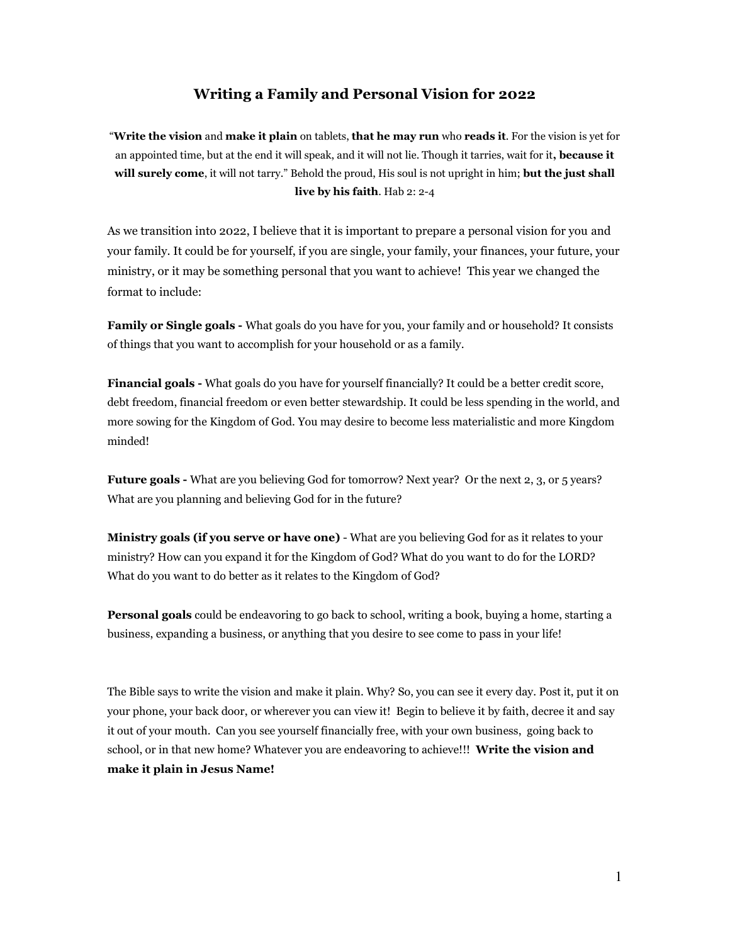## **Writing a Family and Personal Vision for 2022**

"**Write the vision** and **make it plain** on tablets, **that he may run** who **reads it**. For the vision is yet for an appointed time, but at the end it will speak, and it will not lie. Though it tarries, wait for it**, because it will surely come**, it will not tarry." Behold the proud, His soul is not upright in him; **but the just shall live by his faith**. Hab 2: 2-4

As we transition into 2022, I believe that it is important to prepare a personal vision for you and your family. It could be for yourself, if you are single, your family, your finances, your future, your ministry, or it may be something personal that you want to achieve! This year we changed the format to include:

**Family or Single goals -** What goals do you have for you, your family and or household? It consists of things that you want to accomplish for your household or as a family.

**Financial goals -** What goals do you have for yourself financially? It could be a better credit score, debt freedom, financial freedom or even better stewardship. It could be less spending in the world, and more sowing for the Kingdom of God. You may desire to become less materialistic and more Kingdom minded!

**Future goals -** What are you believing God for tomorrow? Next year? Or the next 2, 3, or 5 years? What are you planning and believing God for in the future?

**Ministry goals (if you serve or have one)** - What are you believing God for as it relates to your ministry? How can you expand it for the Kingdom of God? What do you want to do for the LORD? What do you want to do better as it relates to the Kingdom of God?

**Personal goals** could be endeavoring to go back to school, writing a book, buying a home, starting a business, expanding a business, or anything that you desire to see come to pass in your life!

The Bible says to write the vision and make it plain. Why? So, you can see it every day. Post it, put it on your phone, your back door, or wherever you can view it! Begin to believe it by faith, decree it and say it out of your mouth. Can you see yourself financially free, with your own business, going back to school, or in that new home? Whatever you are endeavoring to achieve!!! **Write the vision and make it plain in Jesus Name!**